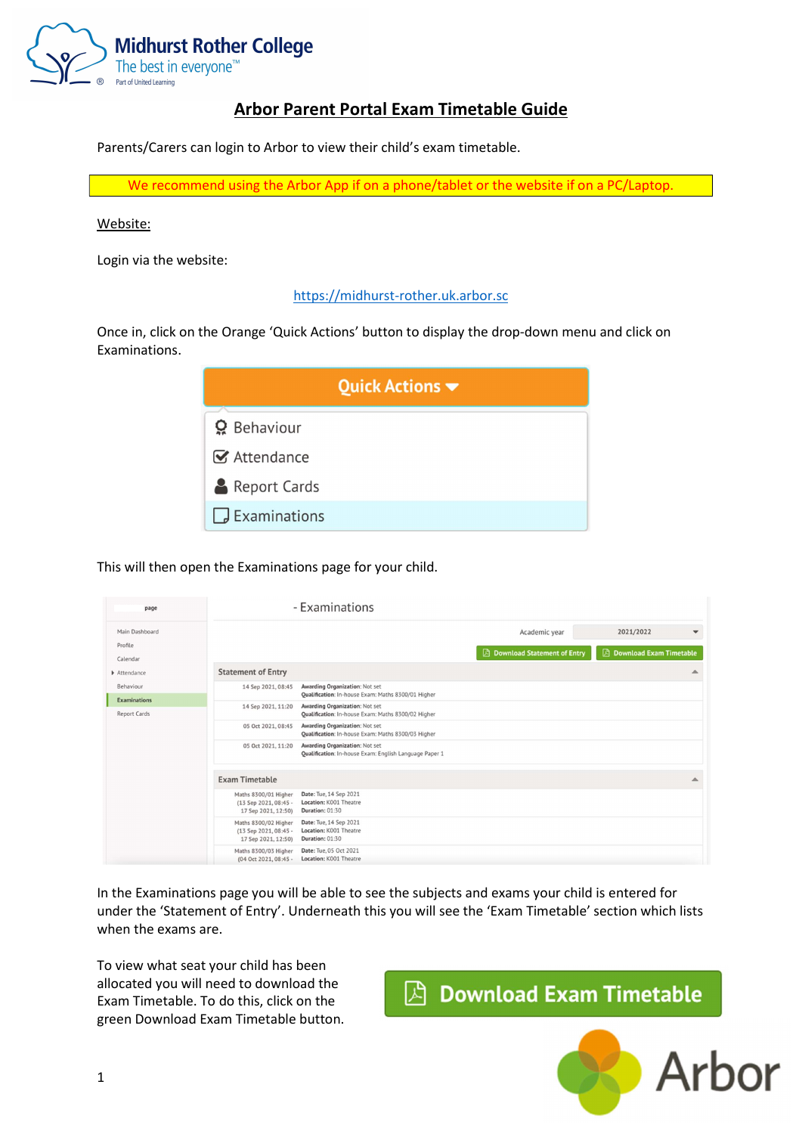

## Arbor Parent Portal Exam Timetable Guide

Parents/Carers can login to Arbor to view their child's exam timetable.

We recommend using the Arbor App if on a phone/tablet or the website if on a PC/Laptop.

### Website:

Login via the website:

### https://midhurst-rother.uk.arbor.sc

Once in, click on the Orange 'Quick Actions' button to display the drop-down menu and click on Examinations.

| Quick Actions $\blacktriangledown$ |  |  |  |  |  |
|------------------------------------|--|--|--|--|--|
| <b>O</b> Behaviour                 |  |  |  |  |  |
| <b>■</b> Attendance                |  |  |  |  |  |
| Report Cards                       |  |  |  |  |  |
| $\Box$ Examinations                |  |  |  |  |  |

### This will then open the Examinations page for your child.

| page                                       |                                                                      | - Examinations                                                                           |                                              |                                                                       |
|--------------------------------------------|----------------------------------------------------------------------|------------------------------------------------------------------------------------------|----------------------------------------------|-----------------------------------------------------------------------|
| Main Dashboard<br>Profile<br>Calendar      |                                                                      |                                                                                          | Academic year<br>Download Statement of Entry | 2021/2022<br>$\blacktriangledown$<br><b>A</b> Download Exam Timetable |
| Attendance                                 | <b>Statement of Entry</b>                                            |                                                                                          |                                              |                                                                       |
| Behaviour                                  | 14 Sep 2021, 08:45                                                   | Awarding Organization: Not set<br>Qualification: In-house Exam: Maths 8300/01 Higher     |                                              |                                                                       |
| <b>Examinations</b><br><b>Report Cards</b> | 14 Sep 2021, 11:20                                                   | Awarding Organization: Not set<br>Qualification: In-house Exam: Maths 8300/02 Higher     |                                              |                                                                       |
|                                            | 05 Oct 2021, 08:45                                                   | Awarding Organization: Not set<br>Qualification: In-house Exam: Maths 8300/03 Higher     |                                              |                                                                       |
|                                            | 05 Oct 2021, 11:20                                                   | Awarding Organization: Not set<br>Qualification: In-house Exam: English Language Paper 1 |                                              |                                                                       |
|                                            | <b>Exam Timetable</b>                                                |                                                                                          |                                              |                                                                       |
|                                            | Maths 8300/01 Higher<br>(13 Sep 2021, 08:45 -<br>17 Sep 2021, 12:50) | Date: Tue, 14 Sep 2021<br>Location: K001 Theatre<br>Duration: 01:30                      |                                              |                                                                       |
|                                            | Maths 8300/02 Higher<br>(13 Sep 2021, 08:45 -<br>17 Sep 2021, 12:50) | Date: Tue, 14 Sep 2021<br>Location: K001 Theatre<br>Duration: 01:30                      |                                              |                                                                       |
|                                            | Maths 8300/03 Higher<br>(04 Oct 2021, 08:45 -                        | Date: Tue, 05 Oct 2021<br>Location: K001 Theatre                                         |                                              |                                                                       |

In the Examinations page you will be able to see the subjects and exams your child is entered for under the 'Statement of Entry'. Underneath this you will see the 'Exam Timetable' section which lists when the exams are.

To view what seat your child has been allocated you will need to download the Exam Timetable. To do this, click on the green Download Exam Timetable button.

# $\boxtimes$  Download Exam Timetable